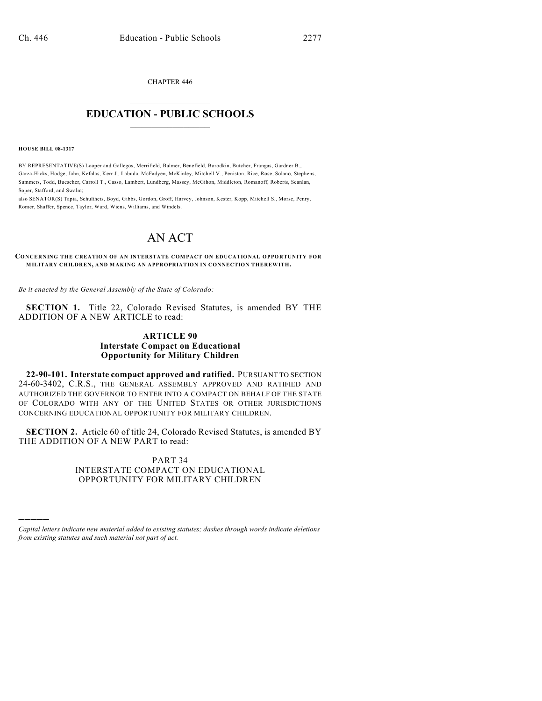CHAPTER 446

# $\mathcal{L}_\text{max}$  . The set of the set of the set of the set of the set of the set of the set of the set of the set of the set of the set of the set of the set of the set of the set of the set of the set of the set of the set **EDUCATION - PUBLIC SCHOOLS**  $\_$   $\_$   $\_$   $\_$   $\_$   $\_$   $\_$   $\_$   $\_$

**HOUSE BILL 08-1317**

)))))

BY REPRESENTATIVE(S) Looper and Gallegos, Merrifield, Balmer, Benefield, Borodkin, Butcher, Frangas, Gardner B., Garza-Hicks, Hodge, Jahn, Kefalas, Kerr J., Labuda, McFadyen, McKinley, Mitchell V., Peniston, Rice, Rose, Solano, Stephens, Summers, Todd, Buescher, Carroll T., Casso, Lambert, Lundberg, Massey, McGihon, Middleton, Romanoff, Roberts, Scanlan, Soper, Stafford, and Swalm;

also SENATOR(S) Tapia, Schultheis, Boyd, Gibbs, Gordon, Groff, Harvey, Johnson, Kester, Kopp, Mitchell S., Morse, Penry, Romer, Shaffer, Spence, Taylor, Ward, Wiens, Williams, and Windels.

# AN ACT

**CO NCERNING THE CREATION OF AN INTERSTATE COMPACT ON EDUCATIONAL OPPORTUNITY FOR MILITARY CHILDREN, AND MAKING AN APPROPRIATION IN CONNECTION THEREWITH.**

*Be it enacted by the General Assembly of the State of Colorado:*

**SECTION 1.** Title 22, Colorado Revised Statutes, is amended BY THE ADDITION OF A NEW ARTICLE to read:

## **ARTICLE 90 Interstate Compact on Educational Opportunity for Military Children**

**22-90-101. Interstate compact approved and ratified.** PURSUANT TO SECTION 24-60-3402, C.R.S., THE GENERAL ASSEMBLY APPROVED AND RATIFIED AND AUTHORIZED THE GOVERNOR TO ENTER INTO A COMPACT ON BEHALF OF THE STATE OF COLORADO WITH ANY OF THE UNITED STATES OR OTHER JURISDICTIONS CONCERNING EDUCATIONAL OPPORTUNITY FOR MILITARY CHILDREN.

**SECTION 2.** Article 60 of title 24, Colorado Revised Statutes, is amended BY THE ADDITION OF A NEW PART to read:

> PART 34 INTERSTATE COMPACT ON EDUCATIONAL OPPORTUNITY FOR MILITARY CHILDREN

*Capital letters indicate new material added to existing statutes; dashes through words indicate deletions from existing statutes and such material not part of act.*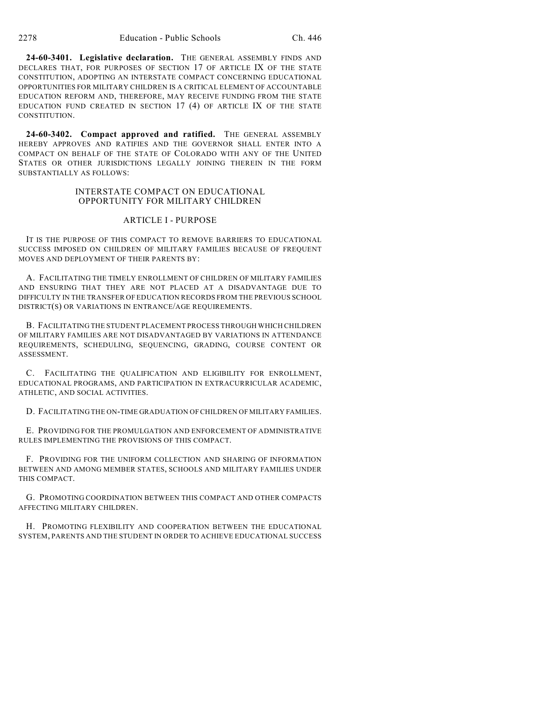**24-60-3401. Legislative declaration.** THE GENERAL ASSEMBLY FINDS AND DECLARES THAT, FOR PURPOSES OF SECTION 17 OF ARTICLE IX OF THE STATE CONSTITUTION, ADOPTING AN INTERSTATE COMPACT CONCERNING EDUCATIONAL OPPORTUNITIES FOR MILITARY CHILDREN IS A CRITICAL ELEMENT OF ACCOUNTABLE EDUCATION REFORM AND, THEREFORE, MAY RECEIVE FUNDING FROM THE STATE EDUCATION FUND CREATED IN SECTION 17 (4) OF ARTICLE IX OF THE STATE CONSTITUTION.

**24-60-3402. Compact approved and ratified.** THE GENERAL ASSEMBLY HEREBY APPROVES AND RATIFIES AND THE GOVERNOR SHALL ENTER INTO A COMPACT ON BEHALF OF THE STATE OF COLORADO WITH ANY OF THE UNITED STATES OR OTHER JURISDICTIONS LEGALLY JOINING THEREIN IN THE FORM SUBSTANTIALLY AS FOLLOWS:

#### INTERSTATE COMPACT ON EDUCATIONAL OPPORTUNITY FOR MILITARY CHILDREN

### ARTICLE I - PURPOSE

IT IS THE PURPOSE OF THIS COMPACT TO REMOVE BARRIERS TO EDUCATIONAL SUCCESS IMPOSED ON CHILDREN OF MILITARY FAMILIES BECAUSE OF FREQUENT MOVES AND DEPLOYMENT OF THEIR PARENTS BY:

A. FACILITATING THE TIMELY ENROLLMENT OF CHILDREN OF MILITARY FAMILIES AND ENSURING THAT THEY ARE NOT PLACED AT A DISADVANTAGE DUE TO DIFFICULTY IN THE TRANSFER OF EDUCATION RECORDS FROM THE PREVIOUS SCHOOL DISTRICT(S) OR VARIATIONS IN ENTRANCE/AGE REQUIREMENTS.

B. FACILITATING THE STUDENT PLACEMENT PROCESS THROUGH WHICH CHILDREN OF MILITARY FAMILIES ARE NOT DISADVANTAGED BY VARIATIONS IN ATTENDANCE REQUIREMENTS, SCHEDULING, SEQUENCING, GRADING, COURSE CONTENT OR ASSESSMENT.

C. FACILITATING THE QUALIFICATION AND ELIGIBILITY FOR ENROLLMENT, EDUCATIONAL PROGRAMS, AND PARTICIPATION IN EXTRACURRICULAR ACADEMIC, ATHLETIC, AND SOCIAL ACTIVITIES.

D. FACILITATING THE ON-TIME GRADUATION OF CHILDREN OF MILITARY FAMILIES.

E. PROVIDING FOR THE PROMULGATION AND ENFORCEMENT OF ADMINISTRATIVE RULES IMPLEMENTING THE PROVISIONS OF THIS COMPACT.

F. PROVIDING FOR THE UNIFORM COLLECTION AND SHARING OF INFORMATION BETWEEN AND AMONG MEMBER STATES, SCHOOLS AND MILITARY FAMILIES UNDER THIS COMPACT.

G. PROMOTING COORDINATION BETWEEN THIS COMPACT AND OTHER COMPACTS AFFECTING MILITARY CHILDREN.

H. PROMOTING FLEXIBILITY AND COOPERATION BETWEEN THE EDUCATIONAL SYSTEM, PARENTS AND THE STUDENT IN ORDER TO ACHIEVE EDUCATIONAL SUCCESS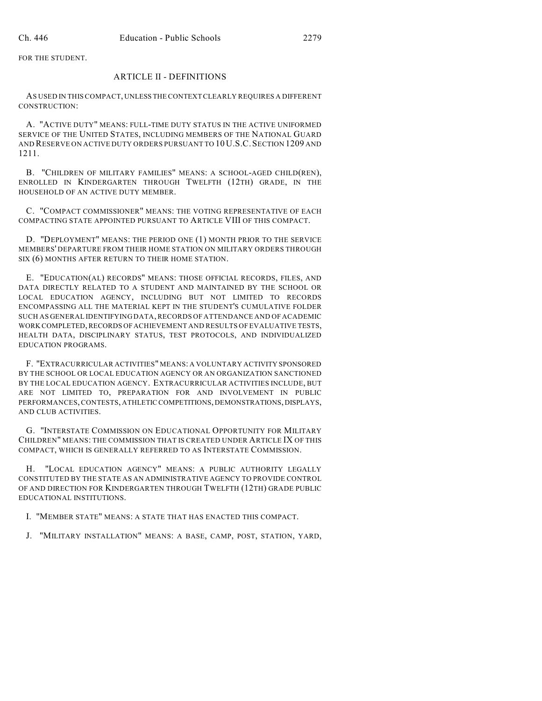FOR THE STUDENT.

#### ARTICLE II - DEFINITIONS

AS USED IN THIS COMPACT, UNLESS THE CONTEXT CLEARLY REQUIRES A DIFFERENT CONSTRUCTION:

A. "ACTIVE DUTY" MEANS: FULL-TIME DUTY STATUS IN THE ACTIVE UNIFORMED SERVICE OF THE UNITED STATES, INCLUDING MEMBERS OF THE NATIONAL GUARD AND RESERVE ON ACTIVE DUTY ORDERS PURSUANT TO 10 U.S.C.SECTION 1209 AND 1211.

B. "CHILDREN OF MILITARY FAMILIES" MEANS: A SCHOOL-AGED CHILD(REN), ENROLLED IN KINDERGARTEN THROUGH TWELFTH (12TH) GRADE, IN THE HOUSEHOLD OF AN ACTIVE DUTY MEMBER.

C. "COMPACT COMMISSIONER" MEANS: THE VOTING REPRESENTATIVE OF EACH COMPACTING STATE APPOINTED PURSUANT TO ARTICLE VIII OF THIS COMPACT.

D. "DEPLOYMENT" MEANS: THE PERIOD ONE (1) MONTH PRIOR TO THE SERVICE MEMBERS' DEPARTURE FROM THEIR HOME STATION ON MILITARY ORDERS THROUGH SIX (6) MONTHS AFTER RETURN TO THEIR HOME STATION.

E. "EDUCATION(AL) RECORDS" MEANS: THOSE OFFICIAL RECORDS, FILES, AND DATA DIRECTLY RELATED TO A STUDENT AND MAINTAINED BY THE SCHOOL OR LOCAL EDUCATION AGENCY, INCLUDING BUT NOT LIMITED TO RECORDS ENCOMPASSING ALL THE MATERIAL KEPT IN THE STUDENT'S CUMULATIVE FOLDER SUCH AS GENERAL IDENTIFYING DATA, RECORDS OF ATTENDANCE AND OF ACADEMIC WORK COMPLETED, RECORDS OF ACHIEVEMENT AND RESULTS OF EVALUATIVE TESTS, HEALTH DATA, DISCIPLINARY STATUS, TEST PROTOCOLS, AND INDIVIDUALIZED EDUCATION PROGRAMS.

F. "EXTRACURRICULAR ACTIVITIES" MEANS: A VOLUNTARY ACTIVITY SPONSORED BY THE SCHOOL OR LOCAL EDUCATION AGENCY OR AN ORGANIZATION SANCTIONED BY THE LOCAL EDUCATION AGENCY. EXTRACURRICULAR ACTIVITIES INCLUDE, BUT ARE NOT LIMITED TO, PREPARATION FOR AND INVOLVEMENT IN PUBLIC PERFORMANCES, CONTESTS, ATHLETIC COMPETITIONS, DEMONSTRATIONS, DISPLAYS, AND CLUB ACTIVITIES.

G. "INTERSTATE COMMISSION ON EDUCATIONAL OPPORTUNITY FOR MILITARY CHILDREN" MEANS: THE COMMISSION THAT IS CREATED UNDER ARTICLE IX OF THIS COMPACT, WHICH IS GENERALLY REFERRED TO AS INTERSTATE COMMISSION.

H. "LOCAL EDUCATION AGENCY" MEANS: A PUBLIC AUTHORITY LEGALLY CONSTITUTED BY THE STATE AS AN ADMINISTRATIVE AGENCY TO PROVIDE CONTROL OF AND DIRECTION FOR KINDERGARTEN THROUGH TWELFTH (12TH) GRADE PUBLIC EDUCATIONAL INSTITUTIONS.

I. "MEMBER STATE" MEANS: A STATE THAT HAS ENACTED THIS COMPACT.

J. "MILITARY INSTALLATION" MEANS: A BASE, CAMP, POST, STATION, YARD,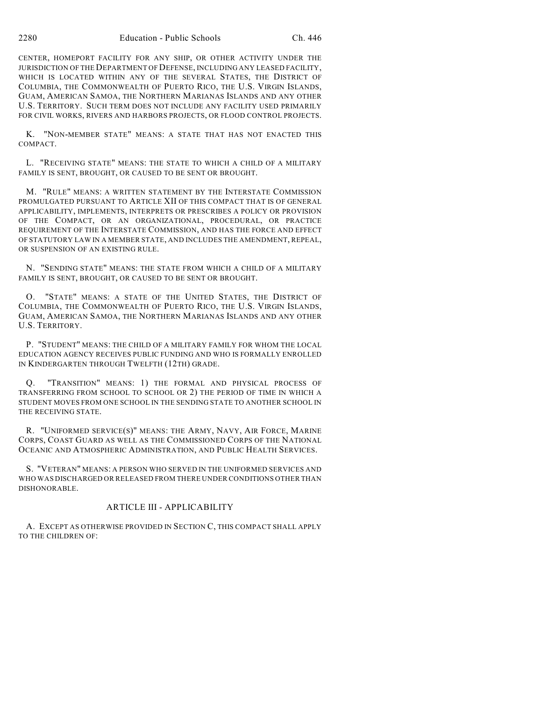CENTER, HOMEPORT FACILITY FOR ANY SHIP, OR OTHER ACTIVITY UNDER THE JURISDICTION OF THE DEPARTMENT OF DEFENSE, INCLUDING ANY LEASED FACILITY, WHICH IS LOCATED WITHIN ANY OF THE SEVERAL STATES, THE DISTRICT OF COLUMBIA, THE COMMONWEALTH OF PUERTO RICO, THE U.S. VIRGIN ISLANDS, GUAM, AMERICAN SAMOA, THE NORTHERN MARIANAS ISLANDS AND ANY OTHER U.S. TERRITORY. SUCH TERM DOES NOT INCLUDE ANY FACILITY USED PRIMARILY FOR CIVIL WORKS, RIVERS AND HARBORS PROJECTS, OR FLOOD CONTROL PROJECTS.

K. "NON-MEMBER STATE" MEANS: A STATE THAT HAS NOT ENACTED THIS COMPACT.

L. "RECEIVING STATE" MEANS: THE STATE TO WHICH A CHILD OF A MILITARY FAMILY IS SENT, BROUGHT, OR CAUSED TO BE SENT OR BROUGHT.

M. "RULE" MEANS: A WRITTEN STATEMENT BY THE INTERSTATE COMMISSION PROMULGATED PURSUANT TO ARTICLE XII OF THIS COMPACT THAT IS OF GENERAL APPLICABILITY, IMPLEMENTS, INTERPRETS OR PRESCRIBES A POLICY OR PROVISION OF THE COMPACT, OR AN ORGANIZATIONAL, PROCEDURAL, OR PRACTICE REQUIREMENT OF THE INTERSTATE COMMISSION, AND HAS THE FORCE AND EFFECT OF STATUTORY LAW IN A MEMBER STATE, AND INCLUDES THE AMENDMENT, REPEAL, OR SUSPENSION OF AN EXISTING RULE.

N. "SENDING STATE" MEANS: THE STATE FROM WHICH A CHILD OF A MILITARY FAMILY IS SENT, BROUGHT, OR CAUSED TO BE SENT OR BROUGHT.

"STATE" MEANS: A STATE OF THE UNITED STATES, THE DISTRICT OF COLUMBIA, THE COMMONWEALTH OF PUERTO RICO, THE U.S. VIRGIN ISLANDS, GUAM, AMERICAN SAMOA, THE NORTHERN MARIANAS ISLANDS AND ANY OTHER U.S. TERRITORY.

P. "STUDENT" MEANS: THE CHILD OF A MILITARY FAMILY FOR WHOM THE LOCAL EDUCATION AGENCY RECEIVES PUBLIC FUNDING AND WHO IS FORMALLY ENROLLED IN KINDERGARTEN THROUGH TWELFTH (12TH) GRADE.

Q. "TRANSITION" MEANS: 1) THE FORMAL AND PHYSICAL PROCESS OF TRANSFERRING FROM SCHOOL TO SCHOOL OR 2) THE PERIOD OF TIME IN WHICH A STUDENT MOVES FROM ONE SCHOOL IN THE SENDING STATE TO ANOTHER SCHOOL IN THE RECEIVING STATE.

R. "UNIFORMED SERVICE(S)" MEANS: THE ARMY, NAVY, AIR FORCE, MARINE CORPS, COAST GUARD AS WELL AS THE COMMISSIONED CORPS OF THE NATIONAL OCEANIC AND ATMOSPHERIC ADMINISTRATION, AND PUBLIC HEALTH SERVICES.

S. "VETERAN" MEANS: A PERSON WHO SERVED IN THE UNIFORMED SERVICES AND WHO WAS DISCHARGED OR RELEASED FROM THERE UNDER CONDITIONS OTHER THAN DISHONORABLE.

## ARTICLE III - APPLICABILITY

A. EXCEPT AS OTHERWISE PROVIDED IN SECTION C, THIS COMPACT SHALL APPLY TO THE CHILDREN OF: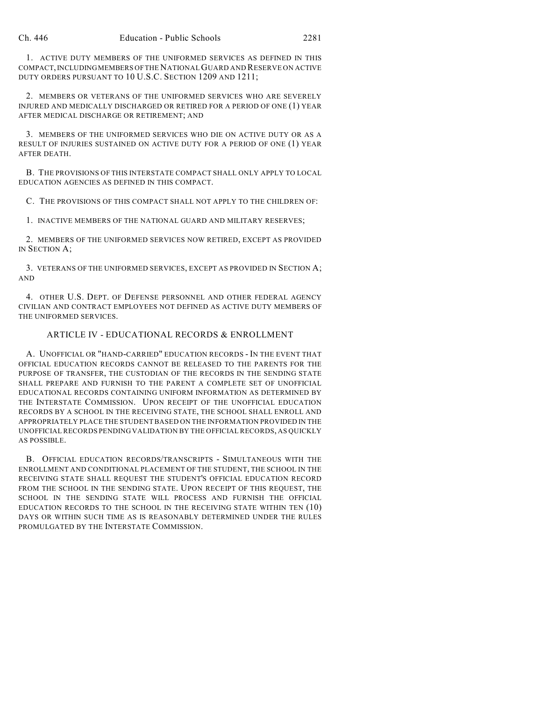1. ACTIVE DUTY MEMBERS OF THE UNIFORMED SERVICES AS DEFINED IN THIS COMPACT, INCLUDING MEMBERS OF THE NATIONAL GUARD AND RESERVE ON ACTIVE DUTY ORDERS PURSUANT TO 10 U.S.C. SECTION 1209 AND 1211;

2. MEMBERS OR VETERANS OF THE UNIFORMED SERVICES WHO ARE SEVERELY INJURED AND MEDICALLY DISCHARGED OR RETIRED FOR A PERIOD OF ONE (1) YEAR AFTER MEDICAL DISCHARGE OR RETIREMENT; AND

3. MEMBERS OF THE UNIFORMED SERVICES WHO DIE ON ACTIVE DUTY OR AS A RESULT OF INJURIES SUSTAINED ON ACTIVE DUTY FOR A PERIOD OF ONE (1) YEAR AFTER DEATH.

B. THE PROVISIONS OF THIS INTERSTATE COMPACT SHALL ONLY APPLY TO LOCAL EDUCATION AGENCIES AS DEFINED IN THIS COMPACT.

C. THE PROVISIONS OF THIS COMPACT SHALL NOT APPLY TO THE CHILDREN OF:

1. INACTIVE MEMBERS OF THE NATIONAL GUARD AND MILITARY RESERVES;

2. MEMBERS OF THE UNIFORMED SERVICES NOW RETIRED, EXCEPT AS PROVIDED IN SECTION A;

3. VETERANS OF THE UNIFORMED SERVICES, EXCEPT AS PROVIDED IN SECTION A; AND

4. OTHER U.S. DEPT. OF DEFENSE PERSONNEL AND OTHER FEDERAL AGENCY CIVILIAN AND CONTRACT EMPLOYEES NOT DEFINED AS ACTIVE DUTY MEMBERS OF THE UNIFORMED SERVICES.

## ARTICLE IV - EDUCATIONAL RECORDS & ENROLLMENT

A. UNOFFICIAL OR "HAND-CARRIED" EDUCATION RECORDS - IN THE EVENT THAT OFFICIAL EDUCATION RECORDS CANNOT BE RELEASED TO THE PARENTS FOR THE PURPOSE OF TRANSFER, THE CUSTODIAN OF THE RECORDS IN THE SENDING STATE SHALL PREPARE AND FURNISH TO THE PARENT A COMPLETE SET OF UNOFFICIAL EDUCATIONAL RECORDS CONTAINING UNIFORM INFORMATION AS DETERMINED BY THE INTERSTATE COMMISSION. UPON RECEIPT OF THE UNOFFICIAL EDUCATION RECORDS BY A SCHOOL IN THE RECEIVING STATE, THE SCHOOL SHALL ENROLL AND APPROPRIATELY PLACE THE STUDENT BASED ON THE INFORMATION PROVIDED IN THE UNOFFICIAL RECORDS PENDING VALIDATION BY THE OFFICIAL RECORDS, AS QUICKLY AS POSSIBLE.

B. OFFICIAL EDUCATION RECORDS/TRANSCRIPTS - SIMULTANEOUS WITH THE ENROLLMENT AND CONDITIONAL PLACEMENT OF THE STUDENT, THE SCHOOL IN THE RECEIVING STATE SHALL REQUEST THE STUDENT'S OFFICIAL EDUCATION RECORD FROM THE SCHOOL IN THE SENDING STATE. UPON RECEIPT OF THIS REQUEST, THE SCHOOL IN THE SENDING STATE WILL PROCESS AND FURNISH THE OFFICIAL EDUCATION RECORDS TO THE SCHOOL IN THE RECEIVING STATE WITHIN TEN (10) DAYS OR WITHIN SUCH TIME AS IS REASONABLY DETERMINED UNDER THE RULES PROMULGATED BY THE INTERSTATE COMMISSION.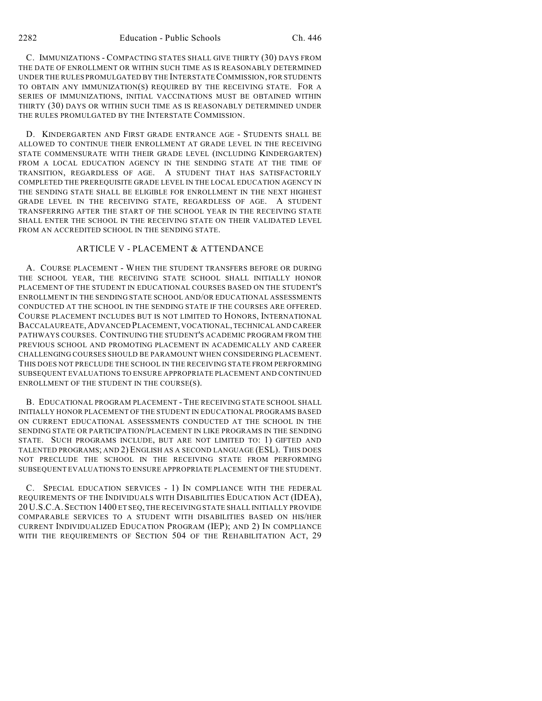C. IMMUNIZATIONS - COMPACTING STATES SHALL GIVE THIRTY (30) DAYS FROM THE DATE OF ENROLLMENT OR WITHIN SUCH TIME AS IS REASONABLY DETERMINED UNDER THE RULES PROMULGATED BY THE INTERSTATE COMMISSION, FOR STUDENTS TO OBTAIN ANY IMMUNIZATION(S) REQUIRED BY THE RECEIVING STATE. FOR A SERIES OF IMMUNIZATIONS, INITIAL VACCINATIONS MUST BE OBTAINED WITHIN THIRTY (30) DAYS OR WITHIN SUCH TIME AS IS REASONABLY DETERMINED UNDER THE RULES PROMULGATED BY THE INTERSTATE COMMISSION.

D. KINDERGARTEN AND FIRST GRADE ENTRANCE AGE - STUDENTS SHALL BE ALLOWED TO CONTINUE THEIR ENROLLMENT AT GRADE LEVEL IN THE RECEIVING STATE COMMENSURATE WITH THEIR GRADE LEVEL (INCLUDING KINDERGARTEN) FROM A LOCAL EDUCATION AGENCY IN THE SENDING STATE AT THE TIME OF TRANSITION, REGARDLESS OF AGE. A STUDENT THAT HAS SATISFACTORILY COMPLETED THE PREREQUISITE GRADE LEVEL IN THE LOCAL EDUCATION AGENCY IN THE SENDING STATE SHALL BE ELIGIBLE FOR ENROLLMENT IN THE NEXT HIGHEST GRADE LEVEL IN THE RECEIVING STATE, REGARDLESS OF AGE. A STUDENT TRANSFERRING AFTER THE START OF THE SCHOOL YEAR IN THE RECEIVING STATE SHALL ENTER THE SCHOOL IN THE RECEIVING STATE ON THEIR VALIDATED LEVEL FROM AN ACCREDITED SCHOOL IN THE SENDING STATE.

## ARTICLE V - PLACEMENT & ATTENDANCE

A. COURSE PLACEMENT - WHEN THE STUDENT TRANSFERS BEFORE OR DURING THE SCHOOL YEAR, THE RECEIVING STATE SCHOOL SHALL INITIALLY HONOR PLACEMENT OF THE STUDENT IN EDUCATIONAL COURSES BASED ON THE STUDENT'S ENROLLMENT IN THE SENDING STATE SCHOOL AND/OR EDUCATIONAL ASSESSMENTS CONDUCTED AT THE SCHOOL IN THE SENDING STATE IF THE COURSES ARE OFFERED. COURSE PLACEMENT INCLUDES BUT IS NOT LIMITED TO HONORS, INTERNATIONAL BACCALAUREATE,ADVANCED PLACEMENT, VOCATIONAL, TECHNICAL AND CAREER PATHWAYS COURSES. CONTINUING THE STUDENT'S ACADEMIC PROGRAM FROM THE PREVIOUS SCHOOL AND PROMOTING PLACEMENT IN ACADEMICALLY AND CAREER CHALLENGING COURSES SHOULD BE PARAMOUNT WHEN CONSIDERING PLACEMENT. THIS DOES NOT PRECLUDE THE SCHOOL IN THE RECEIVING STATE FROM PERFORMING SUBSEQUENT EVALUATIONS TO ENSURE APPROPRIATE PLACEMENT AND CONTINUED ENROLLMENT OF THE STUDENT IN THE COURSE(S).

B. EDUCATIONAL PROGRAM PLACEMENT - THE RECEIVING STATE SCHOOL SHALL INITIALLY HONOR PLACEMENT OF THE STUDENT IN EDUCATIONAL PROGRAMS BASED ON CURRENT EDUCATIONAL ASSESSMENTS CONDUCTED AT THE SCHOOL IN THE SENDING STATE OR PARTICIPATION/PLACEMENT IN LIKE PROGRAMS IN THE SENDING STATE. SUCH PROGRAMS INCLUDE, BUT ARE NOT LIMITED TO: 1) GIFTED AND TALENTED PROGRAMS; AND 2) ENGLISH AS A SECOND LANGUAGE (ESL). THIS DOES NOT PRECLUDE THE SCHOOL IN THE RECEIVING STATE FROM PERFORMING SUBSEQUENT EVALUATIONS TO ENSURE APPROPRIATE PLACEMENT OF THE STUDENT.

C. SPECIAL EDUCATION SERVICES - 1) IN COMPLIANCE WITH THE FEDERAL REQUIREMENTS OF THE INDIVIDUALS WITH DISABILITIES EDUCATION ACT (IDEA), 20 U.S.C.A. SECTION 1400 ET SEQ, THE RECEIVING STATE SHALL INITIALLY PROVIDE COMPARABLE SERVICES TO A STUDENT WITH DISABILITIES BASED ON HIS/HER CURRENT INDIVIDUALIZED EDUCATION PROGRAM (IEP); AND 2) IN COMPLIANCE WITH THE REQUIREMENTS OF SECTION 504 OF THE REHABILITATION ACT, 29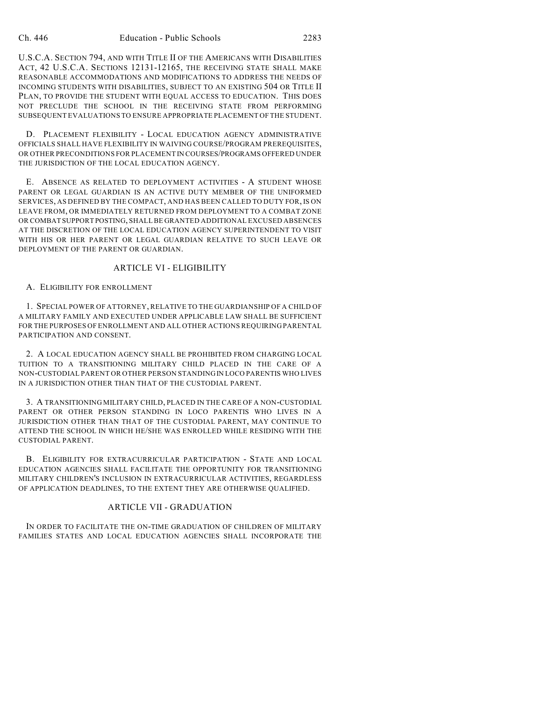U.S.C.A. SECTION 794, AND WITH TITLE II OF THE AMERICANS WITH DISABILITIES ACT, 42 U.S.C.A. SECTIONS 12131-12165, THE RECEIVING STATE SHALL MAKE REASONABLE ACCOMMODATIONS AND MODIFICATIONS TO ADDRESS THE NEEDS OF INCOMING STUDENTS WITH DISABILITIES, SUBJECT TO AN EXISTING 504 OR TITLE II PLAN, TO PROVIDE THE STUDENT WITH EQUAL ACCESS TO EDUCATION. THIS DOES NOT PRECLUDE THE SCHOOL IN THE RECEIVING STATE FROM PERFORMING SUBSEQUENT EVALUATIONS TO ENSURE APPROPRIATE PLACEMENT OF THE STUDENT.

D. PLACEMENT FLEXIBILITY - LOCAL EDUCATION AGENCY ADMINISTRATIVE OFFICIALS SHALL HAVE FLEXIBILITY IN WAIVING COURSE/PROGRAM PREREQUISITES, OR OTHER PRECONDITIONS FOR PLACEMENT IN COURSES/PROGRAMS OFFERED UNDER THE JURISDICTION OF THE LOCAL EDUCATION AGENCY.

E. ABSENCE AS RELATED TO DEPLOYMENT ACTIVITIES - A STUDENT WHOSE PARENT OR LEGAL GUARDIAN IS AN ACTIVE DUTY MEMBER OF THE UNIFORMED SERVICES, AS DEFINED BY THE COMPACT, AND HAS BEEN CALLED TO DUTY FOR, IS ON LEAVE FROM, OR IMMEDIATELY RETURNED FROM DEPLOYMENT TO A COMBAT ZONE OR COMBAT SUPPORT POSTING, SHALL BE GRANTED ADDITIONAL EXCUSED ABSENCES AT THE DISCRETION OF THE LOCAL EDUCATION AGENCY SUPERINTENDENT TO VISIT WITH HIS OR HER PARENT OR LEGAL GUARDIAN RELATIVE TO SUCH LEAVE OR DEPLOYMENT OF THE PARENT OR GUARDIAN.

## ARTICLE VI - ELIGIBILITY

A. ELIGIBILITY FOR ENROLLMENT

1. SPECIAL POWER OF ATTORNEY, RELATIVE TO THE GUARDIANSHIP OF A CHILD OF A MILITARY FAMILY AND EXECUTED UNDER APPLICABLE LAW SHALL BE SUFFICIENT FOR THE PURPOSES OF ENROLLMENT AND ALL OTHER ACTIONS REQUIRING PARENTAL PARTICIPATION AND CONSENT.

2. A LOCAL EDUCATION AGENCY SHALL BE PROHIBITED FROM CHARGING LOCAL TUITION TO A TRANSITIONING MILITARY CHILD PLACED IN THE CARE OF A NON-CUSTODIAL PARENT OR OTHER PERSON STANDING IN LOCO PARENTIS WHO LIVES IN A JURISDICTION OTHER THAN THAT OF THE CUSTODIAL PARENT.

3. A TRANSITIONING MILITARY CHILD, PLACED IN THE CARE OF A NON-CUSTODIAL PARENT OR OTHER PERSON STANDING IN LOCO PARENTIS WHO LIVES IN A JURISDICTION OTHER THAN THAT OF THE CUSTODIAL PARENT, MAY CONTINUE TO ATTEND THE SCHOOL IN WHICH HE/SHE WAS ENROLLED WHILE RESIDING WITH THE CUSTODIAL PARENT.

B. ELIGIBILITY FOR EXTRACURRICULAR PARTICIPATION - STATE AND LOCAL EDUCATION AGENCIES SHALL FACILITATE THE OPPORTUNITY FOR TRANSITIONING MILITARY CHILDREN'S INCLUSION IN EXTRACURRICULAR ACTIVITIES, REGARDLESS OF APPLICATION DEADLINES, TO THE EXTENT THEY ARE OTHERWISE QUALIFIED.

#### ARTICLE VII - GRADUATION

IN ORDER TO FACILITATE THE ON-TIME GRADUATION OF CHILDREN OF MILITARY FAMILIES STATES AND LOCAL EDUCATION AGENCIES SHALL INCORPORATE THE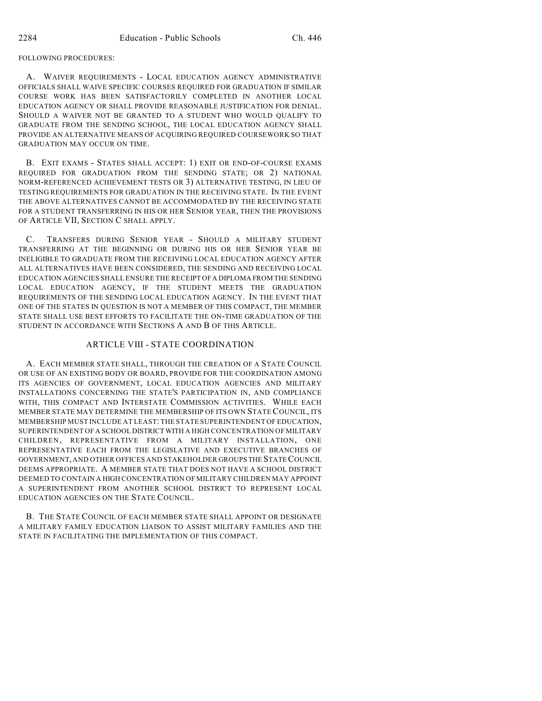#### FOLLOWING PROCEDURES:

A. WAIVER REQUIREMENTS - LOCAL EDUCATION AGENCY ADMINISTRATIVE OFFICIALS SHALL WAIVE SPECIFIC COURSES REQUIRED FOR GRADUATION IF SIMILAR COURSE WORK HAS BEEN SATISFACTORILY COMPLETED IN ANOTHER LOCAL EDUCATION AGENCY OR SHALL PROVIDE REASONABLE JUSTIFICATION FOR DENIAL. SHOULD A WAIVER NOT BE GRANTED TO A STUDENT WHO WOULD QUALIFY TO GRADUATE FROM THE SENDING SCHOOL, THE LOCAL EDUCATION AGENCY SHALL PROVIDE AN ALTERNATIVE MEANS OF ACQUIRING REQUIRED COURSEWORK SO THAT GRADUATION MAY OCCUR ON TIME.

B. EXIT EXAMS - STATES SHALL ACCEPT: 1) EXIT OR END-OF-COURSE EXAMS REQUIRED FOR GRADUATION FROM THE SENDING STATE; OR 2) NATIONAL NORM-REFERENCED ACHIEVEMENT TESTS OR 3) ALTERNATIVE TESTING, IN LIEU OF TESTING REQUIREMENTS FOR GRADUATION IN THE RECEIVING STATE. IN THE EVENT THE ABOVE ALTERNATIVES CANNOT BE ACCOMMODATED BY THE RECEIVING STATE FOR A STUDENT TRANSFERRING IN HIS OR HER SENIOR YEAR, THEN THE PROVISIONS OF ARTICLE VII, SECTION C SHALL APPLY.

C. TRANSFERS DURING SENIOR YEAR - SHOULD A MILITARY STUDENT TRANSFERRING AT THE BEGINNING OR DURING HIS OR HER SENIOR YEAR BE INELIGIBLE TO GRADUATE FROM THE RECEIVING LOCAL EDUCATION AGENCY AFTER ALL ALTERNATIVES HAVE BEEN CONSIDERED, THE SENDING AND RECEIVING LOCAL EDUCATION AGENCIES SHALL ENSURE THE RECEIPT OF A DIPLOMA FROM THE SENDING LOCAL EDUCATION AGENCY, IF THE STUDENT MEETS THE GRADUATION REQUIREMENTS OF THE SENDING LOCAL EDUCATION AGENCY. IN THE EVENT THAT ONE OF THE STATES IN QUESTION IS NOT A MEMBER OF THIS COMPACT, THE MEMBER STATE SHALL USE BEST EFFORTS TO FACILITATE THE ON-TIME GRADUATION OF THE STUDENT IN ACCORDANCE WITH SECTIONS A AND B OF THIS ARTICLE.

#### ARTICLE VIII - STATE COORDINATION

A. EACH MEMBER STATE SHALL, THROUGH THE CREATION OF A STATE COUNCIL OR USE OF AN EXISTING BODY OR BOARD, PROVIDE FOR THE COORDINATION AMONG ITS AGENCIES OF GOVERNMENT, LOCAL EDUCATION AGENCIES AND MILITARY INSTALLATIONS CONCERNING THE STATE'S PARTICIPATION IN, AND COMPLIANCE WITH, THIS COMPACT AND INTERSTATE COMMISSION ACTIVITIES. WHILE EACH MEMBER STATE MAY DETERMINE THE MEMBERSHIP OF ITS OWN STATE COUNCIL, ITS MEMBERSHIP MUST INCLUDE AT LEAST: THE STATE SUPERINTENDENT OF EDUCATION, SUPERINTENDENT OF A SCHOOL DISTRICT WITH A HIGH CONCENTRATION OF MILITARY CHILDREN, REPRESENTATIVE FROM A MILITARY INSTALLATION, ONE REPRESENTATIVE EACH FROM THE LEGISLATIVE AND EXECUTIVE BRANCHES OF GOVERNMENT, AND OTHER OFFICES AND STAKEHOLDER GROUPS THE STATE COUNCIL DEEMS APPROPRIATE. A MEMBER STATE THAT DOES NOT HAVE A SCHOOL DISTRICT DEEMED TO CONTAIN A HIGH CONCENTRATION OF MILITARY CHILDREN MAY APPOINT A SUPERINTENDENT FROM ANOTHER SCHOOL DISTRICT TO REPRESENT LOCAL EDUCATION AGENCIES ON THE STATE COUNCIL.

B. THE STATE COUNCIL OF EACH MEMBER STATE SHALL APPOINT OR DESIGNATE A MILITARY FAMILY EDUCATION LIAISON TO ASSIST MILITARY FAMILIES AND THE STATE IN FACILITATING THE IMPLEMENTATION OF THIS COMPACT.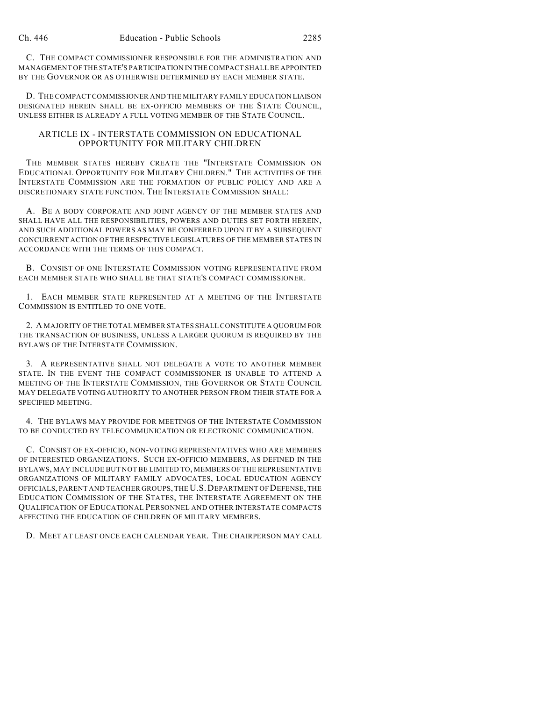C. THE COMPACT COMMISSIONER RESPONSIBLE FOR THE ADMINISTRATION AND MANAGEMENT OF THE STATE'S PARTICIPATION IN THE COMPACT SHALL BE APPOINTED BY THE GOVERNOR OR AS OTHERWISE DETERMINED BY EACH MEMBER STATE.

D. THE COMPACT COMMISSIONER AND THE MILITARY FAMILY EDUCATION LIAISON DESIGNATED HEREIN SHALL BE EX-OFFICIO MEMBERS OF THE STATE COUNCIL, UNLESS EITHER IS ALREADY A FULL VOTING MEMBER OF THE STATE COUNCIL.

#### ARTICLE IX - INTERSTATE COMMISSION ON EDUCATIONAL OPPORTUNITY FOR MILITARY CHILDREN

THE MEMBER STATES HEREBY CREATE THE "INTERSTATE COMMISSION ON EDUCATIONAL OPPORTUNITY FOR MILITARY CHILDREN." THE ACTIVITIES OF THE INTERSTATE COMMISSION ARE THE FORMATION OF PUBLIC POLICY AND ARE A DISCRETIONARY STATE FUNCTION. THE INTERSTATE COMMISSION SHALL:

A. BE A BODY CORPORATE AND JOINT AGENCY OF THE MEMBER STATES AND SHALL HAVE ALL THE RESPONSIBILITIES, POWERS AND DUTIES SET FORTH HEREIN, AND SUCH ADDITIONAL POWERS AS MAY BE CONFERRED UPON IT BY A SUBSEQUENT CONCURRENT ACTION OF THE RESPECTIVE LEGISLATURES OF THE MEMBER STATES IN ACCORDANCE WITH THE TERMS OF THIS COMPACT.

B. CONSIST OF ONE INTERSTATE COMMISSION VOTING REPRESENTATIVE FROM EACH MEMBER STATE WHO SHALL BE THAT STATE'S COMPACT COMMISSIONER.

1. EACH MEMBER STATE REPRESENTED AT A MEETING OF THE INTERSTATE COMMISSION IS ENTITLED TO ONE VOTE.

2. A MAJORITY OF THE TOTAL MEMBER STATES SHALL CONSTITUTE A QUORUM FOR THE TRANSACTION OF BUSINESS, UNLESS A LARGER QUORUM IS REQUIRED BY THE BYLAWS OF THE INTERSTATE COMMISSION.

3. A REPRESENTATIVE SHALL NOT DELEGATE A VOTE TO ANOTHER MEMBER STATE. IN THE EVENT THE COMPACT COMMISSIONER IS UNABLE TO ATTEND A MEETING OF THE INTERSTATE COMMISSION, THE GOVERNOR OR STATE COUNCIL MAY DELEGATE VOTING AUTHORITY TO ANOTHER PERSON FROM THEIR STATE FOR A SPECIFIED MEETING.

4. THE BYLAWS MAY PROVIDE FOR MEETINGS OF THE INTERSTATE COMMISSION TO BE CONDUCTED BY TELECOMMUNICATION OR ELECTRONIC COMMUNICATION.

C. CONSIST OF EX-OFFICIO, NON-VOTING REPRESENTATIVES WHO ARE MEMBERS OF INTERESTED ORGANIZATIONS. SUCH EX-OFFICIO MEMBERS, AS DEFINED IN THE BYLAWS, MAY INCLUDE BUT NOT BE LIMITED TO, MEMBERS OF THE REPRESENTATIVE ORGANIZATIONS OF MILITARY FAMILY ADVOCATES, LOCAL EDUCATION AGENCY OFFICIALS, PARENT AND TEACHER GROUPS, THE U.S.DEPARTMENT OF DEFENSE, THE EDUCATION COMMISSION OF THE STATES, THE INTERSTATE AGREEMENT ON THE QUALIFICATION OF EDUCATIONAL PERSONNEL AND OTHER INTERSTATE COMPACTS AFFECTING THE EDUCATION OF CHILDREN OF MILITARY MEMBERS.

D. MEET AT LEAST ONCE EACH CALENDAR YEAR. THE CHAIRPERSON MAY CALL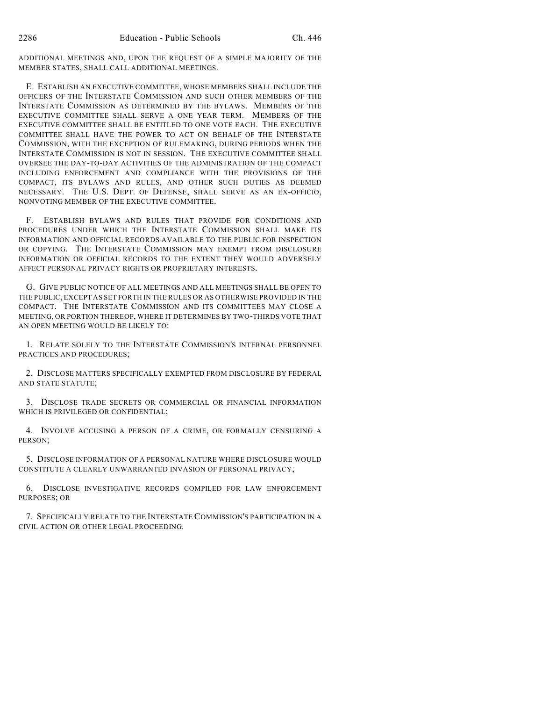ADDITIONAL MEETINGS AND, UPON THE REQUEST OF A SIMPLE MAJORITY OF THE MEMBER STATES, SHALL CALL ADDITIONAL MEETINGS.

E. ESTABLISH AN EXECUTIVE COMMITTEE, WHOSE MEMBERS SHALL INCLUDE THE OFFICERS OF THE INTERSTATE COMMISSION AND SUCH OTHER MEMBERS OF THE INTERSTATE COMMISSION AS DETERMINED BY THE BYLAWS. MEMBERS OF THE EXECUTIVE COMMITTEE SHALL SERVE A ONE YEAR TERM. MEMBERS OF THE EXECUTIVE COMMITTEE SHALL BE ENTITLED TO ONE VOTE EACH. THE EXECUTIVE COMMITTEE SHALL HAVE THE POWER TO ACT ON BEHALF OF THE INTERSTATE COMMISSION, WITH THE EXCEPTION OF RULEMAKING, DURING PERIODS WHEN THE INTERSTATE COMMISSION IS NOT IN SESSION. THE EXECUTIVE COMMITTEE SHALL OVERSEE THE DAY-TO-DAY ACTIVITIES OF THE ADMINISTRATION OF THE COMPACT INCLUDING ENFORCEMENT AND COMPLIANCE WITH THE PROVISIONS OF THE COMPACT, ITS BYLAWS AND RULES, AND OTHER SUCH DUTIES AS DEEMED NECESSARY. THE U.S. DEPT. OF DEFENSE, SHALL SERVE AS AN EX-OFFICIO, NONVOTING MEMBER OF THE EXECUTIVE COMMITTEE.

F. ESTABLISH BYLAWS AND RULES THAT PROVIDE FOR CONDITIONS AND PROCEDURES UNDER WHICH THE INTERSTATE COMMISSION SHALL MAKE ITS INFORMATION AND OFFICIAL RECORDS AVAILABLE TO THE PUBLIC FOR INSPECTION OR COPYING. THE INTERSTATE COMMISSION MAY EXEMPT FROM DISCLOSURE INFORMATION OR OFFICIAL RECORDS TO THE EXTENT THEY WOULD ADVERSELY AFFECT PERSONAL PRIVACY RIGHTS OR PROPRIETARY INTERESTS.

G. GIVE PUBLIC NOTICE OF ALL MEETINGS AND ALL MEETINGS SHALL BE OPEN TO THE PUBLIC, EXCEPT AS SET FORTH IN THE RULES OR AS OTHERWISE PROVIDED IN THE COMPACT. THE INTERSTATE COMMISSION AND ITS COMMITTEES MAY CLOSE A MEETING, OR PORTION THEREOF, WHERE IT DETERMINES BY TWO-THIRDS VOTE THAT AN OPEN MEETING WOULD BE LIKELY TO:

1. RELATE SOLELY TO THE INTERSTATE COMMISSION'S INTERNAL PERSONNEL PRACTICES AND PROCEDURES;

2. DISCLOSE MATTERS SPECIFICALLY EXEMPTED FROM DISCLOSURE BY FEDERAL AND STATE STATUTE;

3. DISCLOSE TRADE SECRETS OR COMMERCIAL OR FINANCIAL INFORMATION WHICH IS PRIVILEGED OR CONFIDENTIAL;

4. INVOLVE ACCUSING A PERSON OF A CRIME, OR FORMALLY CENSURING A PERSON;

5. DISCLOSE INFORMATION OF A PERSONAL NATURE WHERE DISCLOSURE WOULD CONSTITUTE A CLEARLY UNWARRANTED INVASION OF PERSONAL PRIVACY;

6. DISCLOSE INVESTIGATIVE RECORDS COMPILED FOR LAW ENFORCEMENT PURPOSES; OR

7. SPECIFICALLY RELATE TO THE INTERSTATE COMMISSION'S PARTICIPATION IN A CIVIL ACTION OR OTHER LEGAL PROCEEDING.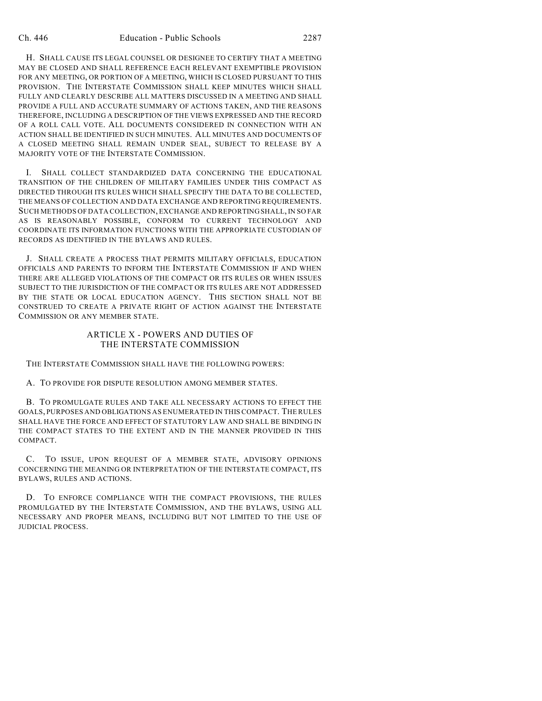H. SHALL CAUSE ITS LEGAL COUNSEL OR DESIGNEE TO CERTIFY THAT A MEETING MAY BE CLOSED AND SHALL REFERENCE EACH RELEVANT EXEMPTIBLE PROVISION FOR ANY MEETING, OR PORTION OF A MEETING, WHICH IS CLOSED PURSUANT TO THIS PROVISION. THE INTERSTATE COMMISSION SHALL KEEP MINUTES WHICH SHALL FULLY AND CLEARLY DESCRIBE ALL MATTERS DISCUSSED IN A MEETING AND SHALL PROVIDE A FULL AND ACCURATE SUMMARY OF ACTIONS TAKEN, AND THE REASONS THEREFORE, INCLUDING A DESCRIPTION OF THE VIEWS EXPRESSED AND THE RECORD OF A ROLL CALL VOTE. ALL DOCUMENTS CONSIDERED IN CONNECTION WITH AN ACTION SHALL BE IDENTIFIED IN SUCH MINUTES. ALL MINUTES AND DOCUMENTS OF A CLOSED MEETING SHALL REMAIN UNDER SEAL, SUBJECT TO RELEASE BY A MAJORITY VOTE OF THE INTERSTATE COMMISSION.

I. SHALL COLLECT STANDARDIZED DATA CONCERNING THE EDUCATIONAL TRANSITION OF THE CHILDREN OF MILITARY FAMILIES UNDER THIS COMPACT AS DIRECTED THROUGH ITS RULES WHICH SHALL SPECIFY THE DATA TO BE COLLECTED, THE MEANS OF COLLECTION AND DATA EXCHANGE AND REPORTING REQUIREMENTS. SUCH METHODS OF DATA COLLECTION, EXCHANGE AND REPORTING SHALL, IN SO FAR AS IS REASONABLY POSSIBLE, CONFORM TO CURRENT TECHNOLOGY AND COORDINATE ITS INFORMATION FUNCTIONS WITH THE APPROPRIATE CUSTODIAN OF RECORDS AS IDENTIFIED IN THE BYLAWS AND RULES.

J. SHALL CREATE A PROCESS THAT PERMITS MILITARY OFFICIALS, EDUCATION OFFICIALS AND PARENTS TO INFORM THE INTERSTATE COMMISSION IF AND WHEN THERE ARE ALLEGED VIOLATIONS OF THE COMPACT OR ITS RULES OR WHEN ISSUES SUBJECT TO THE JURISDICTION OF THE COMPACT OR ITS RULES ARE NOT ADDRESSED BY THE STATE OR LOCAL EDUCATION AGENCY. THIS SECTION SHALL NOT BE CONSTRUED TO CREATE A PRIVATE RIGHT OF ACTION AGAINST THE INTERSTATE COMMISSION OR ANY MEMBER STATE.

## ARTICLE X - POWERS AND DUTIES OF THE INTERSTATE COMMISSION

THE INTERSTATE COMMISSION SHALL HAVE THE FOLLOWING POWERS:

A. TO PROVIDE FOR DISPUTE RESOLUTION AMONG MEMBER STATES.

B. TO PROMULGATE RULES AND TAKE ALL NECESSARY ACTIONS TO EFFECT THE GOALS, PURPOSES AND OBLIGATIONS AS ENUMERATED IN THIS COMPACT. THE RULES SHALL HAVE THE FORCE AND EFFECT OF STATUTORY LAW AND SHALL BE BINDING IN THE COMPACT STATES TO THE EXTENT AND IN THE MANNER PROVIDED IN THIS COMPACT.

C. TO ISSUE, UPON REQUEST OF A MEMBER STATE, ADVISORY OPINIONS CONCERNING THE MEANING OR INTERPRETATION OF THE INTERSTATE COMPACT, ITS BYLAWS, RULES AND ACTIONS.

D. TO ENFORCE COMPLIANCE WITH THE COMPACT PROVISIONS, THE RULES PROMULGATED BY THE INTERSTATE COMMISSION, AND THE BYLAWS, USING ALL NECESSARY AND PROPER MEANS, INCLUDING BUT NOT LIMITED TO THE USE OF JUDICIAL PROCESS.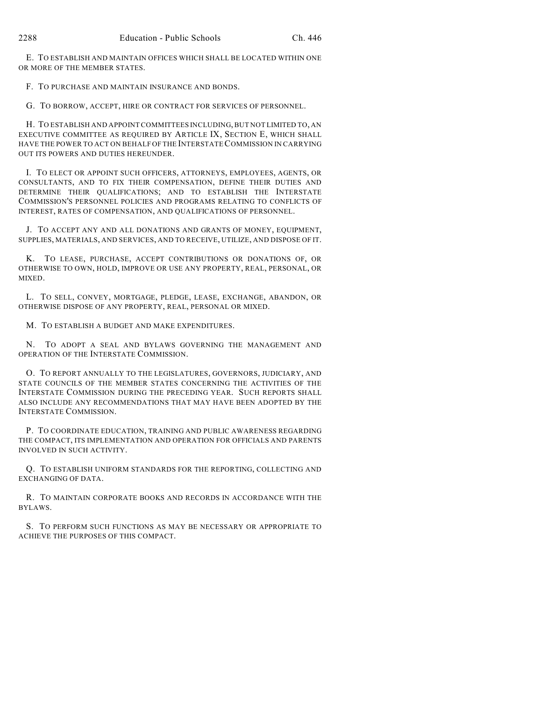E. TO ESTABLISH AND MAINTAIN OFFICES WHICH SHALL BE LOCATED WITHIN ONE OR MORE OF THE MEMBER STATES.

F. TO PURCHASE AND MAINTAIN INSURANCE AND BONDS.

G. TO BORROW, ACCEPT, HIRE OR CONTRACT FOR SERVICES OF PERSONNEL.

H. TO ESTABLISH AND APPOINT COMMITTEES INCLUDING, BUT NOT LIMITED TO, AN EXECUTIVE COMMITTEE AS REQUIRED BY ARTICLE IX, SECTION E, WHICH SHALL HAVE THE POWER TO ACT ON BEHALF OF THE INTERSTATE COMMISSION IN CARRYING OUT ITS POWERS AND DUTIES HEREUNDER.

I. TO ELECT OR APPOINT SUCH OFFICERS, ATTORNEYS, EMPLOYEES, AGENTS, OR CONSULTANTS, AND TO FIX THEIR COMPENSATION, DEFINE THEIR DUTIES AND DETERMINE THEIR QUALIFICATIONS; AND TO ESTABLISH THE INTERSTATE COMMISSION'S PERSONNEL POLICIES AND PROGRAMS RELATING TO CONFLICTS OF INTEREST, RATES OF COMPENSATION, AND QUALIFICATIONS OF PERSONNEL.

J. TO ACCEPT ANY AND ALL DONATIONS AND GRANTS OF MONEY, EQUIPMENT, SUPPLIES, MATERIALS, AND SERVICES, AND TO RECEIVE, UTILIZE, AND DISPOSE OF IT.

K. TO LEASE, PURCHASE, ACCEPT CONTRIBUTIONS OR DONATIONS OF, OR OTHERWISE TO OWN, HOLD, IMPROVE OR USE ANY PROPERTY, REAL, PERSONAL, OR MIXED.

L. TO SELL, CONVEY, MORTGAGE, PLEDGE, LEASE, EXCHANGE, ABANDON, OR OTHERWISE DISPOSE OF ANY PROPERTY, REAL, PERSONAL OR MIXED.

M. TO ESTABLISH A BUDGET AND MAKE EXPENDITURES.

N. TO ADOPT A SEAL AND BYLAWS GOVERNING THE MANAGEMENT AND OPERATION OF THE INTERSTATE COMMISSION.

O. TO REPORT ANNUALLY TO THE LEGISLATURES, GOVERNORS, JUDICIARY, AND STATE COUNCILS OF THE MEMBER STATES CONCERNING THE ACTIVITIES OF THE INTERSTATE COMMISSION DURING THE PRECEDING YEAR. SUCH REPORTS SHALL ALSO INCLUDE ANY RECOMMENDATIONS THAT MAY HAVE BEEN ADOPTED BY THE INTERSTATE COMMISSION.

P. TO COORDINATE EDUCATION, TRAINING AND PUBLIC AWARENESS REGARDING THE COMPACT, ITS IMPLEMENTATION AND OPERATION FOR OFFICIALS AND PARENTS INVOLVED IN SUCH ACTIVITY.

Q. TO ESTABLISH UNIFORM STANDARDS FOR THE REPORTING, COLLECTING AND EXCHANGING OF DATA.

R. TO MAINTAIN CORPORATE BOOKS AND RECORDS IN ACCORDANCE WITH THE BYLAWS.

S. TO PERFORM SUCH FUNCTIONS AS MAY BE NECESSARY OR APPROPRIATE TO ACHIEVE THE PURPOSES OF THIS COMPACT.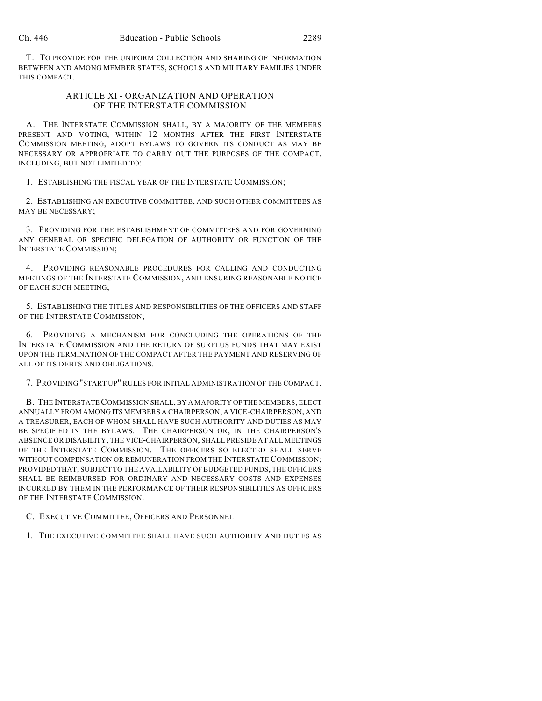T. TO PROVIDE FOR THE UNIFORM COLLECTION AND SHARING OF INFORMATION BETWEEN AND AMONG MEMBER STATES, SCHOOLS AND MILITARY FAMILIES UNDER THIS COMPACT.

## ARTICLE XI - ORGANIZATION AND OPERATION OF THE INTERSTATE COMMISSION

A. THE INTERSTATE COMMISSION SHALL, BY A MAJORITY OF THE MEMBERS PRESENT AND VOTING, WITHIN 12 MONTHS AFTER THE FIRST INTERSTATE COMMISSION MEETING, ADOPT BYLAWS TO GOVERN ITS CONDUCT AS MAY BE NECESSARY OR APPROPRIATE TO CARRY OUT THE PURPOSES OF THE COMPACT, INCLUDING, BUT NOT LIMITED TO:

1. ESTABLISHING THE FISCAL YEAR OF THE INTERSTATE COMMISSION;

2. ESTABLISHING AN EXECUTIVE COMMITTEE, AND SUCH OTHER COMMITTEES AS MAY BE NECESSARY;

3. PROVIDING FOR THE ESTABLISHMENT OF COMMITTEES AND FOR GOVERNING ANY GENERAL OR SPECIFIC DELEGATION OF AUTHORITY OR FUNCTION OF THE INTERSTATE COMMISSION;

4. PROVIDING REASONABLE PROCEDURES FOR CALLING AND CONDUCTING MEETINGS OF THE INTERSTATE COMMISSION, AND ENSURING REASONABLE NOTICE OF EACH SUCH MEETING;

5. ESTABLISHING THE TITLES AND RESPONSIBILITIES OF THE OFFICERS AND STAFF OF THE INTERSTATE COMMISSION;

6. PROVIDING A MECHANISM FOR CONCLUDING THE OPERATIONS OF THE INTERSTATE COMMISSION AND THE RETURN OF SURPLUS FUNDS THAT MAY EXIST UPON THE TERMINATION OF THE COMPACT AFTER THE PAYMENT AND RESERVING OF ALL OF ITS DEBTS AND OBLIGATIONS.

7. PROVIDING "START UP" RULES FOR INITIAL ADMINISTRATION OF THE COMPACT.

B. THE INTERSTATE COMMISSION SHALL, BY A MAJORITY OF THE MEMBERS, ELECT ANNUALLY FROM AMONG ITS MEMBERS A CHAIRPERSON, A VICE-CHAIRPERSON, AND A TREASURER, EACH OF WHOM SHALL HAVE SUCH AUTHORITY AND DUTIES AS MAY BE SPECIFIED IN THE BYLAWS. THE CHAIRPERSON OR, IN THE CHAIRPERSON'S ABSENCE OR DISABILITY, THE VICE-CHAIRPERSON, SHALL PRESIDE AT ALL MEETINGS OF THE INTERSTATE COMMISSION. THE OFFICERS SO ELECTED SHALL SERVE WITHOUT COMPENSATION OR REMUNERATION FROM THE INTERSTATE COMMISSION; PROVIDED THAT, SUBJECT TO THE AVAILABILITY OF BUDGETED FUNDS, THE OFFICERS SHALL BE REIMBURSED FOR ORDINARY AND NECESSARY COSTS AND EXPENSES INCURRED BY THEM IN THE PERFORMANCE OF THEIR RESPONSIBILITIES AS OFFICERS OF THE INTERSTATE COMMISSION.

C. EXECUTIVE COMMITTEE, OFFICERS AND PERSONNEL

1. THE EXECUTIVE COMMITTEE SHALL HAVE SUCH AUTHORITY AND DUTIES AS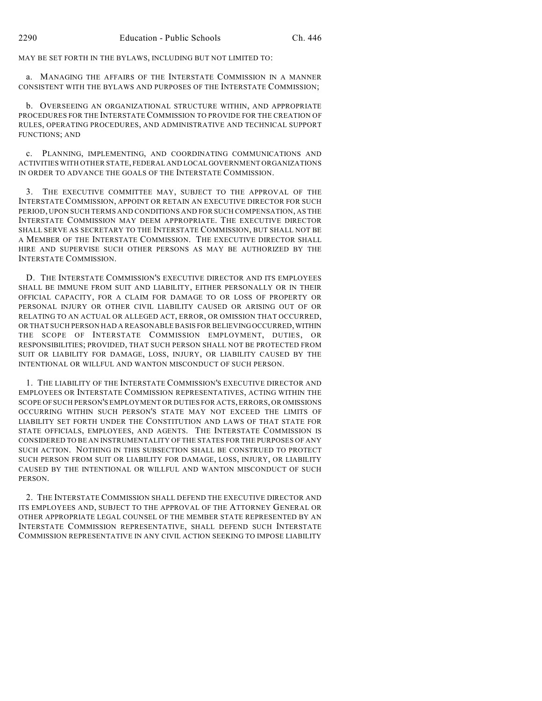MAY BE SET FORTH IN THE BYLAWS, INCLUDING BUT NOT LIMITED TO:

a. MANAGING THE AFFAIRS OF THE INTERSTATE COMMISSION IN A MANNER CONSISTENT WITH THE BYLAWS AND PURPOSES OF THE INTERSTATE COMMISSION;

b. OVERSEEING AN ORGANIZATIONAL STRUCTURE WITHIN, AND APPROPRIATE PROCEDURES FOR THE INTERSTATE COMMISSION TO PROVIDE FOR THE CREATION OF RULES, OPERATING PROCEDURES, AND ADMINISTRATIVE AND TECHNICAL SUPPORT FUNCTIONS; AND

c. PLANNING, IMPLEMENTING, AND COORDINATING COMMUNICATIONS AND ACTIVITIES WITH OTHER STATE, FEDERAL AND LOCAL GOVERNMENT ORGANIZATIONS IN ORDER TO ADVANCE THE GOALS OF THE INTERSTATE COMMISSION.

3. THE EXECUTIVE COMMITTEE MAY, SUBJECT TO THE APPROVAL OF THE INTERSTATE COMMISSION, APPOINT OR RETAIN AN EXECUTIVE DIRECTOR FOR SUCH PERIOD, UPON SUCH TERMS AND CONDITIONS AND FOR SUCH COMPENSATION, AS THE INTERSTATE COMMISSION MAY DEEM APPROPRIATE. THE EXECUTIVE DIRECTOR SHALL SERVE AS SECRETARY TO THE INTERSTATE COMMISSION, BUT SHALL NOT BE A MEMBER OF THE INTERSTATE COMMISSION. THE EXECUTIVE DIRECTOR SHALL HIRE AND SUPERVISE SUCH OTHER PERSONS AS MAY BE AUTHORIZED BY THE INTERSTATE COMMISSION.

D. THE INTERSTATE COMMISSION'S EXECUTIVE DIRECTOR AND ITS EMPLOYEES SHALL BE IMMUNE FROM SUIT AND LIABILITY, EITHER PERSONALLY OR IN THEIR OFFICIAL CAPACITY, FOR A CLAIM FOR DAMAGE TO OR LOSS OF PROPERTY OR PERSONAL INJURY OR OTHER CIVIL LIABILITY CAUSED OR ARISING OUT OF OR RELATING TO AN ACTUAL OR ALLEGED ACT, ERROR, OR OMISSION THAT OCCURRED, OR THAT SUCH PERSON HAD A REASONABLE BASIS FOR BELIEVING OCCURRED, WITHIN THE SCOPE OF INTERSTATE COMMISSION EMPLOYMENT, DUTIES, OR RESPONSIBILITIES; PROVIDED, THAT SUCH PERSON SHALL NOT BE PROTECTED FROM SUIT OR LIABILITY FOR DAMAGE, LOSS, INJURY, OR LIABILITY CAUSED BY THE INTENTIONAL OR WILLFUL AND WANTON MISCONDUCT OF SUCH PERSON.

1. THE LIABILITY OF THE INTERSTATE COMMISSION'S EXECUTIVE DIRECTOR AND EMPLOYEES OR INTERSTATE COMMISSION REPRESENTATIVES, ACTING WITHIN THE SCOPE OF SUCH PERSON'S EMPLOYMENT OR DUTIES FOR ACTS, ERRORS, OR OMISSIONS OCCURRING WITHIN SUCH PERSON'S STATE MAY NOT EXCEED THE LIMITS OF LIABILITY SET FORTH UNDER THE CONSTITUTION AND LAWS OF THAT STATE FOR STATE OFFICIALS, EMPLOYEES, AND AGENTS. THE INTERSTATE COMMISSION IS CONSIDERED TO BE AN INSTRUMENTALITY OF THE STATES FOR THE PURPOSES OF ANY SUCH ACTION. NOTHING IN THIS SUBSECTION SHALL BE CONSTRUED TO PROTECT SUCH PERSON FROM SUIT OR LIABILITY FOR DAMAGE, LOSS, INJURY, OR LIABILITY CAUSED BY THE INTENTIONAL OR WILLFUL AND WANTON MISCONDUCT OF SUCH PERSON.

2. THE INTERSTATE COMMISSION SHALL DEFEND THE EXECUTIVE DIRECTOR AND ITS EMPLOYEES AND, SUBJECT TO THE APPROVAL OF THE ATTORNEY GENERAL OR OTHER APPROPRIATE LEGAL COUNSEL OF THE MEMBER STATE REPRESENTED BY AN INTERSTATE COMMISSION REPRESENTATIVE, SHALL DEFEND SUCH INTERSTATE COMMISSION REPRESENTATIVE IN ANY CIVIL ACTION SEEKING TO IMPOSE LIABILITY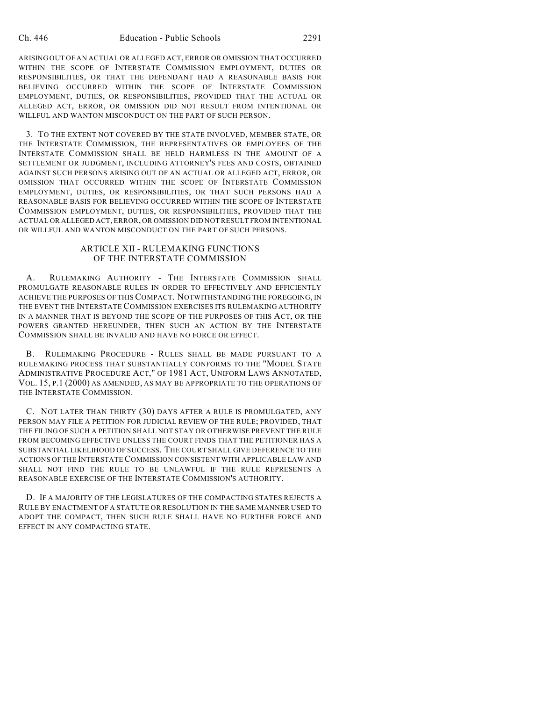ARISING OUT OF AN ACTUAL OR ALLEGED ACT, ERROR OR OMISSION THAT OCCURRED WITHIN THE SCOPE OF INTERSTATE COMMISSION EMPLOYMENT, DUTIES OR RESPONSIBILITIES, OR THAT THE DEFENDANT HAD A REASONABLE BASIS FOR BELIEVING OCCURRED WITHIN THE SCOPE OF INTERSTATE COMMISSION EMPLOYMENT, DUTIES, OR RESPONSIBILITIES, PROVIDED THAT THE ACTUAL OR ALLEGED ACT, ERROR, OR OMISSION DID NOT RESULT FROM INTENTIONAL OR WILLFUL AND WANTON MISCONDUCT ON THE PART OF SUCH PERSON.

3. TO THE EXTENT NOT COVERED BY THE STATE INVOLVED, MEMBER STATE, OR THE INTERSTATE COMMISSION, THE REPRESENTATIVES OR EMPLOYEES OF THE INTERSTATE COMMISSION SHALL BE HELD HARMLESS IN THE AMOUNT OF A SETTLEMENT OR JUDGMENT, INCLUDING ATTORNEY'S FEES AND COSTS, OBTAINED AGAINST SUCH PERSONS ARISING OUT OF AN ACTUAL OR ALLEGED ACT, ERROR, OR OMISSION THAT OCCURRED WITHIN THE SCOPE OF INTERSTATE COMMISSION EMPLOYMENT, DUTIES, OR RESPONSIBILITIES, OR THAT SUCH PERSONS HAD A REASONABLE BASIS FOR BELIEVING OCCURRED WITHIN THE SCOPE OF INTERSTATE COMMISSION EMPLOYMENT, DUTIES, OR RESPONSIBILITIES, PROVIDED THAT THE ACTUAL OR ALLEGED ACT, ERROR, OR OMISSION DID NOT RESULT FROM INTENTIONAL OR WILLFUL AND WANTON MISCONDUCT ON THE PART OF SUCH PERSONS.

## ARTICLE XII - RULEMAKING FUNCTIONS OF THE INTERSTATE COMMISSION

A. RULEMAKING AUTHORITY - THE INTERSTATE COMMISSION SHALL PROMULGATE REASONABLE RULES IN ORDER TO EFFECTIVELY AND EFFICIENTLY ACHIEVE THE PURPOSES OF THIS COMPACT. NOTWITHSTANDING THE FOREGOING, IN THE EVENT THE INTERSTATE COMMISSION EXERCISES ITS RULEMAKING AUTHORITY IN A MANNER THAT IS BEYOND THE SCOPE OF THE PURPOSES OF THIS ACT, OR THE POWERS GRANTED HEREUNDER, THEN SUCH AN ACTION BY THE INTERSTATE COMMISSION SHALL BE INVALID AND HAVE NO FORCE OR EFFECT.

B. RULEMAKING PROCEDURE - RULES SHALL BE MADE PURSUANT TO A RULEMAKING PROCESS THAT SUBSTANTIALLY CONFORMS TO THE "MODEL STATE ADMINISTRATIVE PROCEDURE ACT," OF 1981 ACT, UNIFORM LAWS ANNOTATED, VOL. 15, P.1 (2000) AS AMENDED, AS MAY BE APPROPRIATE TO THE OPERATIONS OF THE INTERSTATE COMMISSION.

C. NOT LATER THAN THIRTY (30) DAYS AFTER A RULE IS PROMULGATED, ANY PERSON MAY FILE A PETITION FOR JUDICIAL REVIEW OF THE RULE; PROVIDED, THAT THE FILING OF SUCH A PETITION SHALL NOT STAY OR OTHERWISE PREVENT THE RULE FROM BECOMING EFFECTIVE UNLESS THE COURT FINDS THAT THE PETITIONER HAS A SUBSTANTIAL LIKELIHOOD OF SUCCESS. THE COURT SHALL GIVE DEFERENCE TO THE ACTIONS OF THE INTERSTATE COMMISSION CONSISTENT WITH APPLICABLE LAW AND SHALL NOT FIND THE RULE TO BE UNLAWFUL IF THE RULE REPRESENTS A REASONABLE EXERCISE OF THE INTERSTATE COMMISSION'S AUTHORITY.

D. IF A MAJORITY OF THE LEGISLATURES OF THE COMPACTING STATES REJECTS A RULE BY ENACTMENT OF A STATUTE OR RESOLUTION IN THE SAME MANNER USED TO ADOPT THE COMPACT, THEN SUCH RULE SHALL HAVE NO FURTHER FORCE AND EFFECT IN ANY COMPACTING STATE.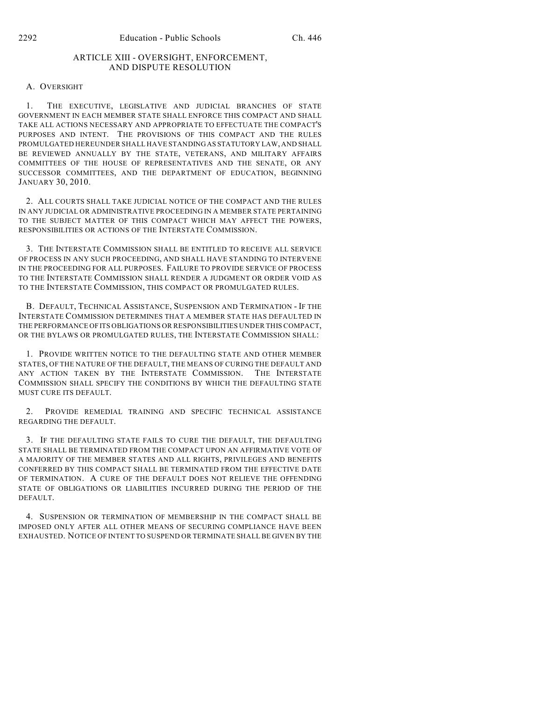### ARTICLE XIII - OVERSIGHT, ENFORCEMENT, AND DISPUTE RESOLUTION

#### A. OVERSIGHT

1. THE EXECUTIVE, LEGISLATIVE AND JUDICIAL BRANCHES OF STATE GOVERNMENT IN EACH MEMBER STATE SHALL ENFORCE THIS COMPACT AND SHALL TAKE ALL ACTIONS NECESSARY AND APPROPRIATE TO EFFECTUATE THE COMPACT'S PURPOSES AND INTENT. THE PROVISIONS OF THIS COMPACT AND THE RULES PROMULGATED HEREUNDER SHALL HAVE STANDING AS STATUTORY LAW, AND SHALL BE REVIEWED ANNUALLY BY THE STATE, VETERANS, AND MILITARY AFFAIRS COMMITTEES OF THE HOUSE OF REPRESENTATIVES AND THE SENATE, OR ANY SUCCESSOR COMMITTEES, AND THE DEPARTMENT OF EDUCATION, BEGINNING JANUARY 30, 2010.

2. ALL COURTS SHALL TAKE JUDICIAL NOTICE OF THE COMPACT AND THE RULES IN ANY JUDICIAL OR ADMINISTRATIVE PROCEEDING IN A MEMBER STATE PERTAINING TO THE SUBJECT MATTER OF THIS COMPACT WHICH MAY AFFECT THE POWERS, RESPONSIBILITIES OR ACTIONS OF THE INTERSTATE COMMISSION.

3. THE INTERSTATE COMMISSION SHALL BE ENTITLED TO RECEIVE ALL SERVICE OF PROCESS IN ANY SUCH PROCEEDING, AND SHALL HAVE STANDING TO INTERVENE IN THE PROCEEDING FOR ALL PURPOSES. FAILURE TO PROVIDE SERVICE OF PROCESS TO THE INTERSTATE COMMISSION SHALL RENDER A JUDGMENT OR ORDER VOID AS TO THE INTERSTATE COMMISSION, THIS COMPACT OR PROMULGATED RULES.

B. DEFAULT, TECHNICAL ASSISTANCE, SUSPENSION AND TERMINATION - IF THE INTERSTATE COMMISSION DETERMINES THAT A MEMBER STATE HAS DEFAULTED IN THE PERFORMANCE OF ITS OBLIGATIONS OR RESPONSIBILITIES UNDER THIS COMPACT, OR THE BYLAWS OR PROMULGATED RULES, THE INTERSTATE COMMISSION SHALL:

1. PROVIDE WRITTEN NOTICE TO THE DEFAULTING STATE AND OTHER MEMBER STATES, OF THE NATURE OF THE DEFAULT, THE MEANS OF CURING THE DEFAULT AND ANY ACTION TAKEN BY THE INTERSTATE COMMISSION. THE INTERSTATE COMMISSION SHALL SPECIFY THE CONDITIONS BY WHICH THE DEFAULTING STATE MUST CURE ITS DEFAULT.

2. PROVIDE REMEDIAL TRAINING AND SPECIFIC TECHNICAL ASSISTANCE REGARDING THE DEFAULT.

3. IF THE DEFAULTING STATE FAILS TO CURE THE DEFAULT, THE DEFAULTING STATE SHALL BE TERMINATED FROM THE COMPACT UPON AN AFFIRMATIVE VOTE OF A MAJORITY OF THE MEMBER STATES AND ALL RIGHTS, PRIVILEGES AND BENEFITS CONFERRED BY THIS COMPACT SHALL BE TERMINATED FROM THE EFFECTIVE DATE OF TERMINATION. A CURE OF THE DEFAULT DOES NOT RELIEVE THE OFFENDING STATE OF OBLIGATIONS OR LIABILITIES INCURRED DURING THE PERIOD OF THE DEFAULT.

4. SUSPENSION OR TERMINATION OF MEMBERSHIP IN THE COMPACT SHALL BE IMPOSED ONLY AFTER ALL OTHER MEANS OF SECURING COMPLIANCE HAVE BEEN EXHAUSTED. NOTICE OF INTENT TO SUSPEND OR TERMINATE SHALL BE GIVEN BY THE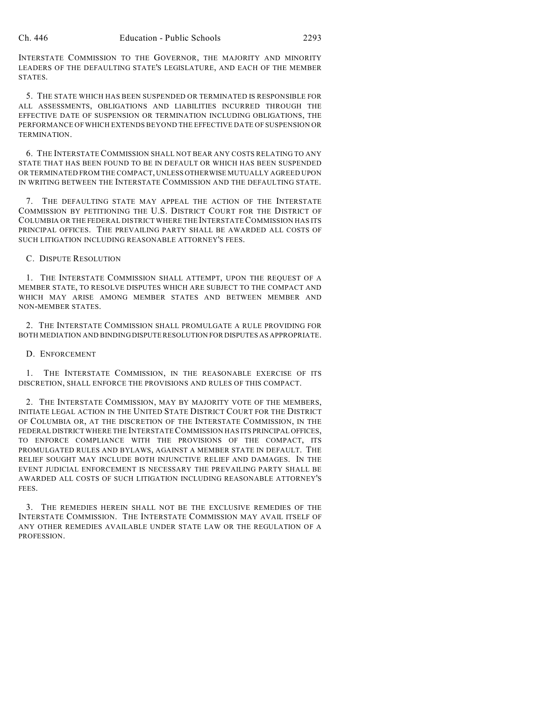INTERSTATE COMMISSION TO THE GOVERNOR, THE MAJORITY AND MINORITY LEADERS OF THE DEFAULTING STATE'S LEGISLATURE, AND EACH OF THE MEMBER STATES.

5. THE STATE WHICH HAS BEEN SUSPENDED OR TERMINATED IS RESPONSIBLE FOR ALL ASSESSMENTS, OBLIGATIONS AND LIABILITIES INCURRED THROUGH THE EFFECTIVE DATE OF SUSPENSION OR TERMINATION INCLUDING OBLIGATIONS, THE PERFORMANCE OF WHICH EXTENDS BEYOND THE EFFECTIVE DATE OF SUSPENSION OR TERMINATION.

6. THE INTERSTATE COMMISSION SHALL NOT BEAR ANY COSTS RELATING TO ANY STATE THAT HAS BEEN FOUND TO BE IN DEFAULT OR WHICH HAS BEEN SUSPENDED OR TERMINATED FROM THE COMPACT, UNLESS OTHERWISE MUTUALLY AGREED UPON IN WRITING BETWEEN THE INTERSTATE COMMISSION AND THE DEFAULTING STATE.

7. THE DEFAULTING STATE MAY APPEAL THE ACTION OF THE INTERSTATE COMMISSION BY PETITIONING THE U.S. DISTRICT COURT FOR THE DISTRICT OF COLUMBIA OR THE FEDERAL DISTRICT WHERE THE INTERSTATE COMMISSION HAS ITS PRINCIPAL OFFICES. THE PREVAILING PARTY SHALL BE AWARDED ALL COSTS OF SUCH LITIGATION INCLUDING REASONABLE ATTORNEY'S FEES.

C. DISPUTE RESOLUTION

1. THE INTERSTATE COMMISSION SHALL ATTEMPT, UPON THE REQUEST OF A MEMBER STATE, TO RESOLVE DISPUTES WHICH ARE SUBJECT TO THE COMPACT AND WHICH MAY ARISE AMONG MEMBER STATES AND BETWEEN MEMBER AND NON-MEMBER STATES.

2. THE INTERSTATE COMMISSION SHALL PROMULGATE A RULE PROVIDING FOR BOTH MEDIATION AND BINDING DISPUTE RESOLUTION FOR DISPUTES AS APPROPRIATE.

#### D. ENFORCEMENT

1. THE INTERSTATE COMMISSION, IN THE REASONABLE EXERCISE OF ITS DISCRETION, SHALL ENFORCE THE PROVISIONS AND RULES OF THIS COMPACT.

2. THE INTERSTATE COMMISSION, MAY BY MAJORITY VOTE OF THE MEMBERS, INITIATE LEGAL ACTION IN THE UNITED STATE DISTRICT COURT FOR THE DISTRICT OF COLUMBIA OR, AT THE DISCRETION OF THE INTERSTATE COMMISSION, IN THE FEDERAL DISTRICT WHERE THE INTERSTATE COMMISSION HAS ITS PRINCIPAL OFFICES, TO ENFORCE COMPLIANCE WITH THE PROVISIONS OF THE COMPACT, ITS PROMULGATED RULES AND BYLAWS, AGAINST A MEMBER STATE IN DEFAULT. THE RELIEF SOUGHT MAY INCLUDE BOTH INJUNCTIVE RELIEF AND DAMAGES. IN THE EVENT JUDICIAL ENFORCEMENT IS NECESSARY THE PREVAILING PARTY SHALL BE AWARDED ALL COSTS OF SUCH LITIGATION INCLUDING REASONABLE ATTORNEY'S FEES.

3. THE REMEDIES HEREIN SHALL NOT BE THE EXCLUSIVE REMEDIES OF THE INTERSTATE COMMISSION. THE INTERSTATE COMMISSION MAY AVAIL ITSELF OF ANY OTHER REMEDIES AVAILABLE UNDER STATE LAW OR THE REGULATION OF A PROFESSION.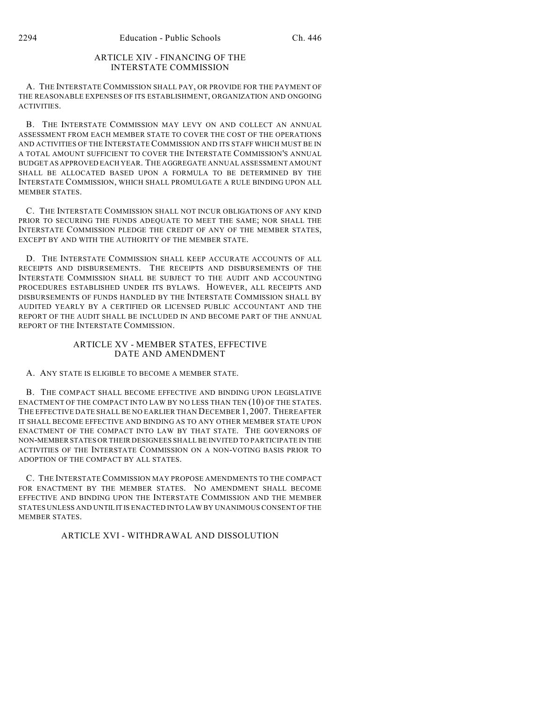## ARTICLE XIV - FINANCING OF THE INTERSTATE COMMISSION

A. THE INTERSTATE COMMISSION SHALL PAY, OR PROVIDE FOR THE PAYMENT OF THE REASONABLE EXPENSES OF ITS ESTABLISHMENT, ORGANIZATION AND ONGOING ACTIVITIES.

B. THE INTERSTATE COMMISSION MAY LEVY ON AND COLLECT AN ANNUAL ASSESSMENT FROM EACH MEMBER STATE TO COVER THE COST OF THE OPERATIONS AND ACTIVITIES OF THE INTERSTATE COMMISSION AND ITS STAFF WHICH MUST BE IN A TOTAL AMOUNT SUFFICIENT TO COVER THE INTERSTATE COMMISSION'S ANNUAL BUDGET AS APPROVED EACH YEAR. THE AGGREGATE ANNUAL ASSESSMENT AMOUNT SHALL BE ALLOCATED BASED UPON A FORMULA TO BE DETERMINED BY THE INTERSTATE COMMISSION, WHICH SHALL PROMULGATE A RULE BINDING UPON ALL MEMBER STATES.

C. THE INTERSTATE COMMISSION SHALL NOT INCUR OBLIGATIONS OF ANY KIND PRIOR TO SECURING THE FUNDS ADEQUATE TO MEET THE SAME; NOR SHALL THE INTERSTATE COMMISSION PLEDGE THE CREDIT OF ANY OF THE MEMBER STATES, EXCEPT BY AND WITH THE AUTHORITY OF THE MEMBER STATE.

D. THE INTERSTATE COMMISSION SHALL KEEP ACCURATE ACCOUNTS OF ALL RECEIPTS AND DISBURSEMENTS. THE RECEIPTS AND DISBURSEMENTS OF THE INTERSTATE COMMISSION SHALL BE SUBJECT TO THE AUDIT AND ACCOUNTING PROCEDURES ESTABLISHED UNDER ITS BYLAWS. HOWEVER, ALL RECEIPTS AND DISBURSEMENTS OF FUNDS HANDLED BY THE INTERSTATE COMMISSION SHALL BY AUDITED YEARLY BY A CERTIFIED OR LICENSED PUBLIC ACCOUNTANT AND THE REPORT OF THE AUDIT SHALL BE INCLUDED IN AND BECOME PART OF THE ANNUAL REPORT OF THE INTERSTATE COMMISSION.

## ARTICLE XV - MEMBER STATES, EFFECTIVE DATE AND AMENDMENT

A. ANY STATE IS ELIGIBLE TO BECOME A MEMBER STATE.

B. THE COMPACT SHALL BECOME EFFECTIVE AND BINDING UPON LEGISLATIVE ENACTMENT OF THE COMPACT INTO LAW BY NO LESS THAN TEN (10) OF THE STATES. THE EFFECTIVE DATE SHALL BE NO EARLIER THAN DECEMBER 1, 2007. THEREAFTER IT SHALL BECOME EFFECTIVE AND BINDING AS TO ANY OTHER MEMBER STATE UPON ENACTMENT OF THE COMPACT INTO LAW BY THAT STATE. THE GOVERNORS OF NON-MEMBER STATES OR THEIR DESIGNEES SHALL BE INVITED TO PARTICIPATE IN THE ACTIVITIES OF THE INTERSTATE COMMISSION ON A NON-VOTING BASIS PRIOR TO ADOPTION OF THE COMPACT BY ALL STATES.

C. THE INTERSTATE COMMISSION MAY PROPOSE AMENDMENTS TO THE COMPACT FOR ENACTMENT BY THE MEMBER STATES. NO AMENDMENT SHALL BECOME EFFECTIVE AND BINDING UPON THE INTERSTATE COMMISSION AND THE MEMBER STATES UNLESS AND UNTIL IT IS ENACTED INTO LAW BY UNANIMOUS CONSENT OF THE MEMBER STATES.

## ARTICLE XVI - WITHDRAWAL AND DISSOLUTION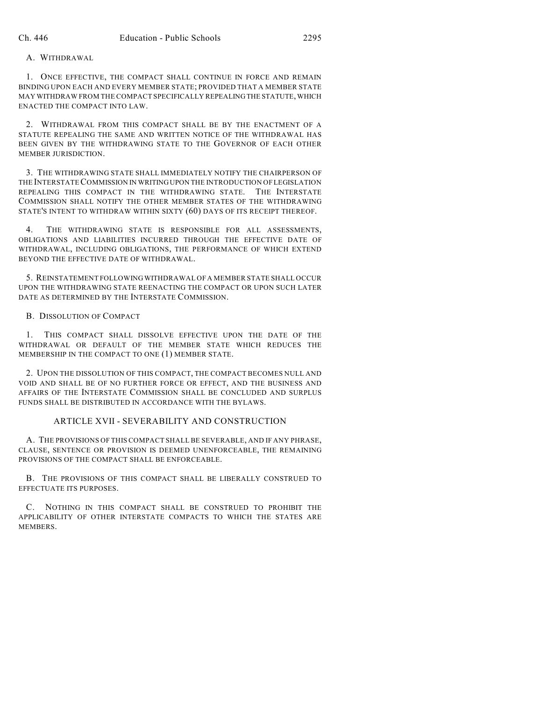## A. WITHDRAWAL

1. ONCE EFFECTIVE, THE COMPACT SHALL CONTINUE IN FORCE AND REMAIN BINDING UPON EACH AND EVERY MEMBER STATE; PROVIDED THAT A MEMBER STATE MAY WITHDRAW FROM THE COMPACT SPECIFICALLY REPEALING THE STATUTE, WHICH ENACTED THE COMPACT INTO LAW.

2. WITHDRAWAL FROM THIS COMPACT SHALL BE BY THE ENACTMENT OF A STATUTE REPEALING THE SAME AND WRITTEN NOTICE OF THE WITHDRAWAL HAS BEEN GIVEN BY THE WITHDRAWING STATE TO THE GOVERNOR OF EACH OTHER MEMBER JURISDICTION.

3. THE WITHDRAWING STATE SHALL IMMEDIATELY NOTIFY THE CHAIRPERSON OF THE INTERSTATE COMMISSION IN WRITING UPON THE INTRODUCTION OF LEGISLATION REPEALING THIS COMPACT IN THE WITHDRAWING STATE. THE INTERSTATE COMMISSION SHALL NOTIFY THE OTHER MEMBER STATES OF THE WITHDRAWING STATE'S INTENT TO WITHDRAW WITHIN SIXTY (60) DAYS OF ITS RECEIPT THEREOF.

4. THE WITHDRAWING STATE IS RESPONSIBLE FOR ALL ASSESSMENTS, OBLIGATIONS AND LIABILITIES INCURRED THROUGH THE EFFECTIVE DATE OF WITHDRAWAL, INCLUDING OBLIGATIONS, THE PERFORMANCE OF WHICH EXTEND BEYOND THE EFFECTIVE DATE OF WITHDRAWAL.

5. REINSTATEMENT FOLLOWING WITHDRAWAL OF A MEMBER STATE SHALL OCCUR UPON THE WITHDRAWING STATE REENACTING THE COMPACT OR UPON SUCH LATER DATE AS DETERMINED BY THE INTERSTATE COMMISSION.

B. DISSOLUTION OF COMPACT

1. THIS COMPACT SHALL DISSOLVE EFFECTIVE UPON THE DATE OF THE WITHDRAWAL OR DEFAULT OF THE MEMBER STATE WHICH REDUCES THE MEMBERSHIP IN THE COMPACT TO ONE (1) MEMBER STATE.

2. UPON THE DISSOLUTION OF THIS COMPACT, THE COMPACT BECOMES NULL AND VOID AND SHALL BE OF NO FURTHER FORCE OR EFFECT, AND THE BUSINESS AND AFFAIRS OF THE INTERSTATE COMMISSION SHALL BE CONCLUDED AND SURPLUS FUNDS SHALL BE DISTRIBUTED IN ACCORDANCE WITH THE BYLAWS.

### ARTICLE XVII - SEVERABILITY AND CONSTRUCTION

A. THE PROVISIONS OF THIS COMPACT SHALL BE SEVERABLE, AND IF ANY PHRASE, CLAUSE, SENTENCE OR PROVISION IS DEEMED UNENFORCEABLE, THE REMAINING PROVISIONS OF THE COMPACT SHALL BE ENFORCEABLE.

B. THE PROVISIONS OF THIS COMPACT SHALL BE LIBERALLY CONSTRUED TO EFFECTUATE ITS PURPOSES.

C. NOTHING IN THIS COMPACT SHALL BE CONSTRUED TO PROHIBIT THE APPLICABILITY OF OTHER INTERSTATE COMPACTS TO WHICH THE STATES ARE MEMBERS.